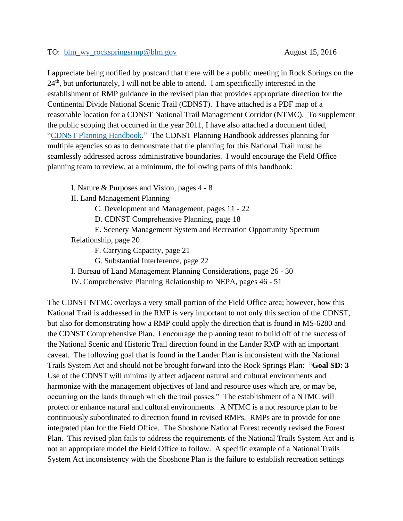## TO: <u>[blm\\_wy\\_rockspringsrmp@blm.gov](mailto:blm_wy_rockspringsrmp@blm.gov)</u> August 15, 2016

I appreciate being notified by postcard that there will be a public meeting in Rock Springs on the  $24<sup>th</sup>$ , but unfortunately, I will not be able to attend. I am specifically interested in the establishment of RMP guidance in the revised plan that provides appropriate direction for the Continental Divide National Scenic Trail (CDNST). I have attached is a PDF map of a reasonable location for a CDNST National Trail Management Corridor (NTMC). To supplement the public scoping that occurred in the year 2011, I have also attached a document titled, ["CDNST Planning Handbook.](http://www.nstrail.org/management/cdnst_planning_handbook.pdf)" The CDNST Planning Handbook addresses planning for multiple agencies so as to demonstrate that the planning for this National Trail must be seamlessly addressed across administrative boundaries. I would encourage the Field Office planning team to review, at a minimum, the following parts of this handbook:

I. Nature & Purposes and Vision, pages 4 - 8

II. Land Management Planning

C. Development and Management, pages 11 - 22

D. CDNST Comprehensive Planning, page 18

E. Scenery Management System and Recreation Opportunity Spectrum Relationship, page 20

F. Carrying Capacity, page 21

G. Substantial Interference, page 22

I. Bureau of Land Management Planning Considerations, page 26 - 30

IV. Comprehensive Planning Relationship to NEPA, pages 46 - 51

The CDNST NTMC overlays a very small portion of the Field Office area; however, how this National Trail is addressed in the RMP is very important to not only this section of the CDNST, but also for demonstrating how a RMP could apply the direction that is found in MS-6280 and the CDNST Comprehensive Plan. I encourage the planning team to build off of the success of the National Scenic and Historic Trail direction found in the Lander RMP with an important caveat. The following goal that is found in the Lander Plan is inconsistent with the National Trails System Act and should not be brought forward into the Rock Springs Plan: "**Goal SD: 3**  Use of the CDNST will minimally affect adjacent natural and cultural environments and harmonize with the management objectives of land and resource uses which are, or may be, occurring on the lands through which the trail passes." The establishment of a NTMC will protect or enhance natural and cultural environments. A NTMC is a not resource plan to be continuously subordinated to direction found in revised RMPs. RMPs are to provide for one integrated plan for the Field Office. The Shoshone National Forest recently revised the Forest Plan. This revised plan fails to address the requirements of the National Trails System Act and is not an appropriate model the Field Office to follow. A specific example of a National Trails System Act inconsistency with the Shoshone Plan is the failure to establish recreation settings